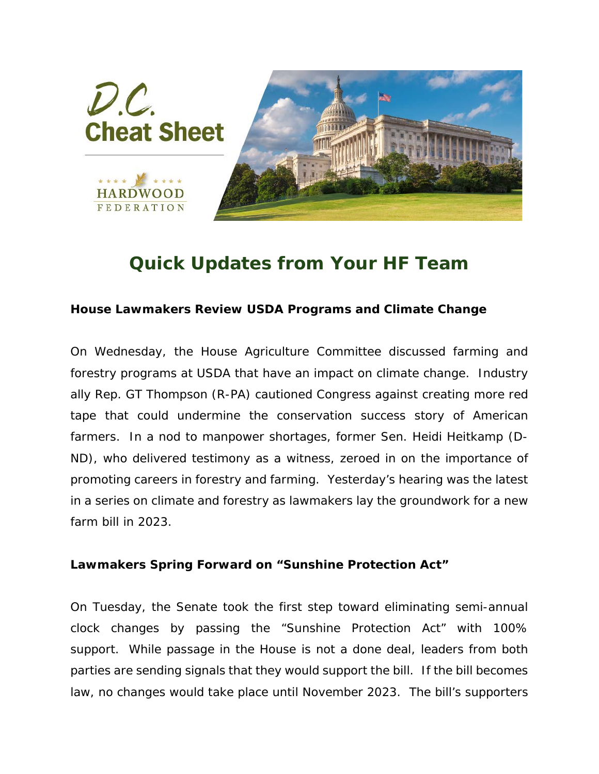

## *Quick Updates from Your HF Team*

## **House Lawmakers Review USDA Programs and Climate Change**

On Wednesday, the House Agriculture Committee discussed farming and forestry programs at USDA that have an impact on climate change. Industry ally Rep. GT Thompson (R-PA) cautioned Congress against creating more red tape that could undermine the conservation success story of American farmers. In a nod to manpower shortages, former Sen. Heidi Heitkamp (D-ND), who delivered testimony as a witness, zeroed in on the importance of promoting careers in forestry and farming. Yesterday's hearing was the latest in a series on climate and forestry as lawmakers lay the groundwork for a new farm bill in 2023.

## **Lawmakers Spring Forward on "Sunshine Protection Act"**

On Tuesday, the Senate took the first step toward eliminating semi-annual clock changes by passing the "Sunshine Protection Act" with 100% support. While passage in the House is not a done deal, leaders from both parties are sending signals that they would support the bill. If the bill becomes law, no changes would take place until November 2023. The bill's supporters